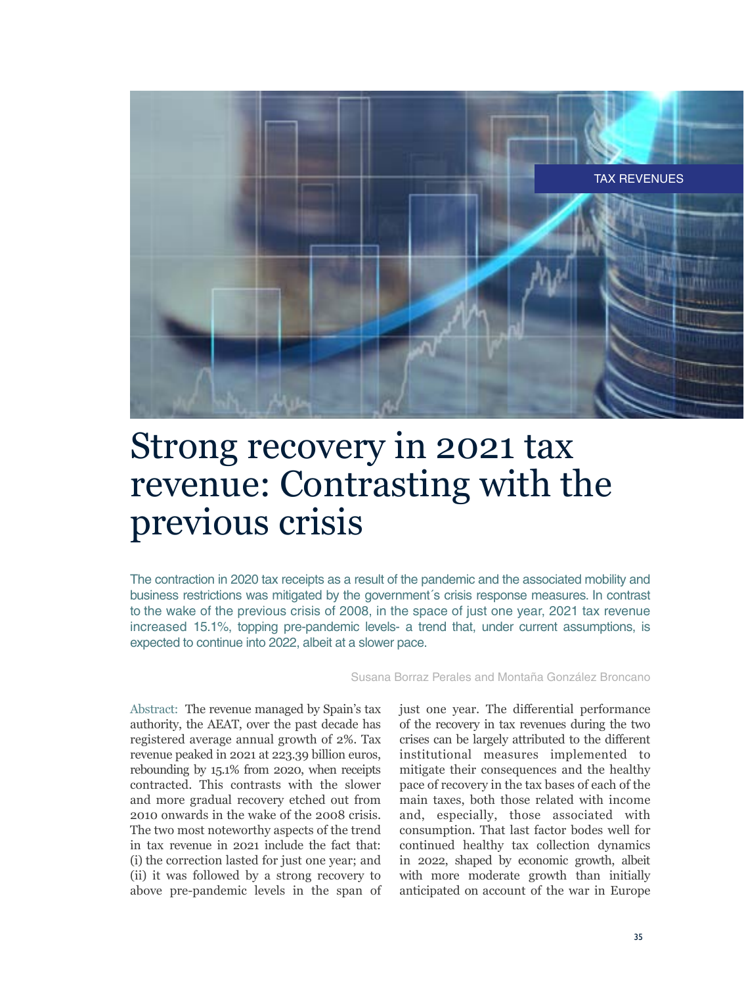

# Strong recovery in 2021 tax revenue: Contrasting with the previous crisis

The contraction in 2020 tax receipts as a result of the pandemic and the associated mobility and business restrictions was mitigated by the government´s crisis response measures. In contrast to the wake of the previous crisis of 2008, in the space of just one year, 2021 tax revenue increased 15.1%, topping pre-pandemic levels- a trend that, under current assumptions, is expected to continue into 2022, albeit at a slower pace.

Susana Borraz Perales and Montaña González Broncano

Abstract: The revenue managed by Spain's tax authority, the AEAT, over the past decade has registered average annual growth of 2%. Tax revenue peaked in 2021 at 223.39 billion euros, rebounding by 15.1% from 2020, when receipts contracted. This contrasts with the slower and more gradual recovery etched out from 2010 onwards in the wake of the 2008 crisis. The two most noteworthy aspects of the trend in tax revenue in 2021 include the fact that: (i) the correction lasted for just one year; and (ii) it was followed by a strong recovery to above pre-pandemic levels in the span of

just one year. The differential performance of the recovery in tax revenues during the two crises can be largely attributed to the different institutional measures implemented to mitigate their consequences and the healthy pace of recovery in the tax bases of each of the main taxes, both those related with income and, especially, those associated with consumption. That last factor bodes well for continued healthy tax collection dynamics in 2022, shaped by economic growth, albeit with more moderate growth than initially anticipated on account of the war in Europe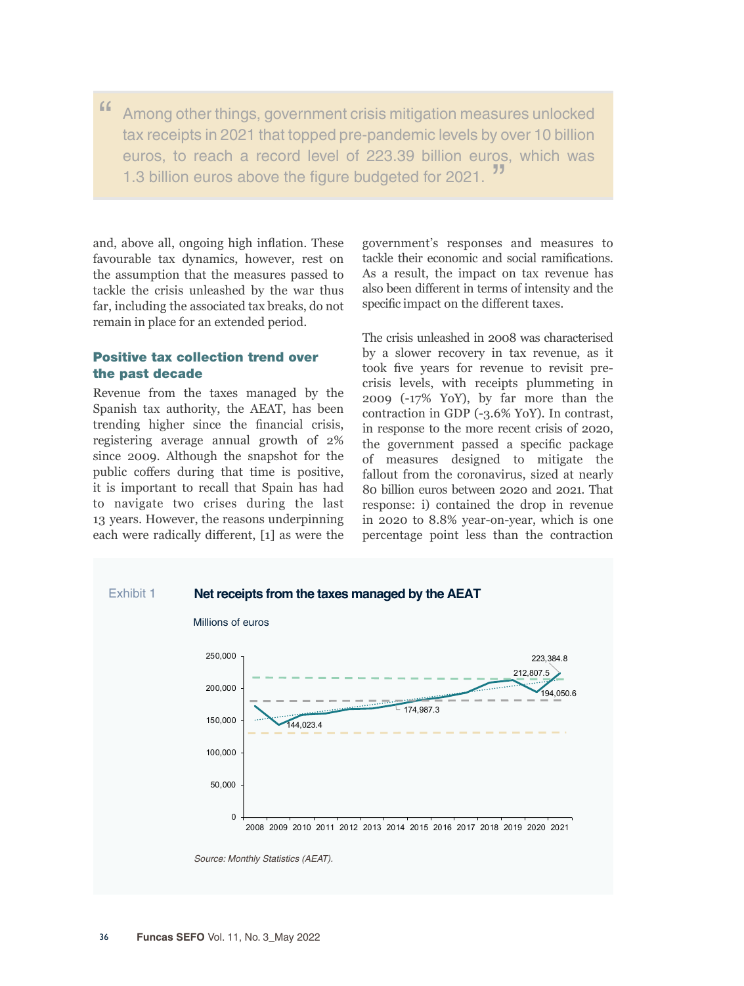" Among other things, government crisis mitigation measures unlocked tax receipts in 2021 that topped pre-pandemic levels by over 10 billion euros, to reach a record level of 223.39 billion euros, which was 1.3 billion euros above the figure budgeted for 2021.

and, above all, ongoing high inflation. These favourable tax dynamics, however, rest on the assumption that the measures passed to tackle the crisis unleashed by the war thus far, including the associated tax breaks, do not remain in place for an extended period.

## Positive tax collection trend over the past decade

Revenue from the taxes managed by the Spanish tax authority, the AEAT, has been trending higher since the financial crisis, registering average annual growth of 2% since 2009. Although the snapshot for the public coffers during that time is positive, it is important to recall that Spain has had to navigate two crises during the last 13 years. However, the reasons underpinning each were radically different, [1] as were the government's responses and measures to tackle their economic and social ramifications. As a result, the impact on tax revenue has also been different in terms of intensity and the specific impact on the different taxes.

The crisis unleashed in 2008 was characterised by a slower recovery in tax revenue, as it took five years for revenue to revisit precrisis levels, with receipts plummeting in 2009 (-17% YoY), by far more than the contraction in GDP (-3.6% YoY). In contrast, in response to the more recent crisis of 2020, the government passed a specific package of measures designed to mitigate the fallout from the coronavirus, sized at nearly 80 billion euros between 2020 and 2021. That response: i) contained the drop in revenue in 2020 to 8.8% year-on-year, which is one percentage point less than the contraction

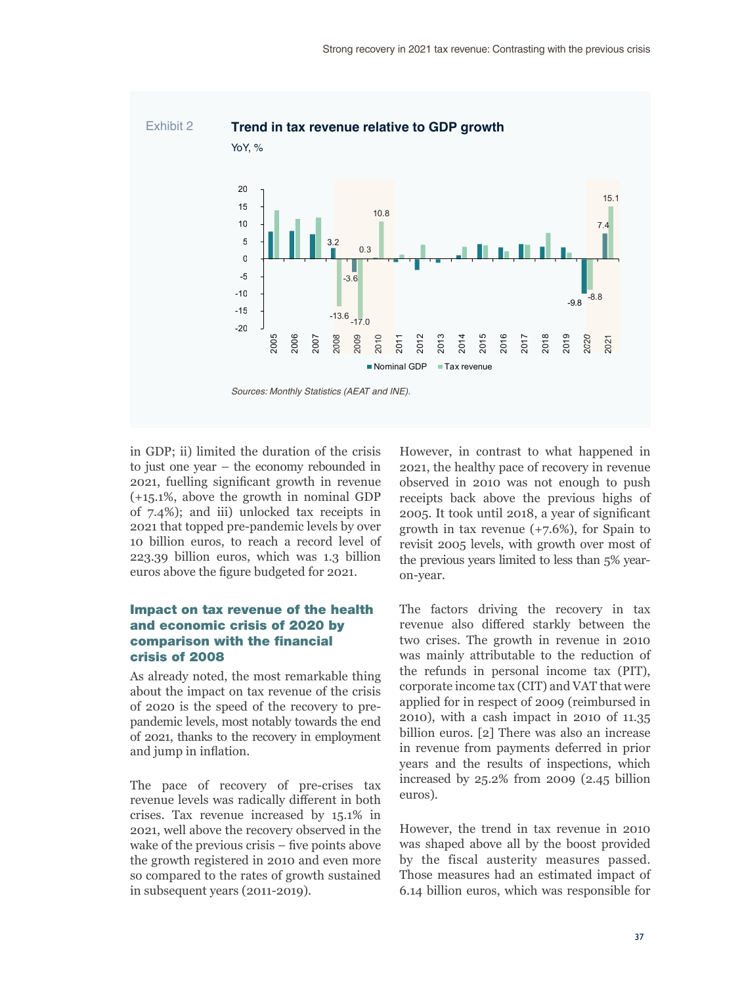

in GDP; ii) limited the duration of the crisis to just one year – the economy rebounded in 2021, fuelling significant growth in revenue (+15.1%, above the growth in nominal GDP of 7.4%); and iii) unlocked tax receipts in 2021 that topped pre-pandemic levels by over 10 billion euros, to reach a record level of 223.39 billion euros, which was 1.3 billion euros above the figure budgeted for 2021.

## Impact on tax revenue of the health and economic crisis of 2020 by comparison with the financial crisis of 2008

As already noted, the most remarkable thing about the impact on tax revenue of the crisis of 2020 is the speed of the recovery to prepandemic levels, most notably towards the end of 2021, thanks to the recovery in employment and jump in inflation.

The pace of recovery of pre-crises tax revenue levels was radically different in both crises. Tax revenue increased by 15.1% in 2021, well above the recovery observed in the wake of the previous crisis – five points above the growth registered in 2010 and even more so compared to the rates of growth sustained in subsequent years (2011-2019).

However, in contrast to what happened in 2021, the healthy pace of recovery in revenue observed in 2010 was not enough to push receipts back above the previous highs of 2005. It took until 2018, a year of significant growth in tax revenue (+7.6%), for Spain to revisit 2005 levels, with growth over most of the previous years limited to less than 5% yearon-year.

The factors driving the recovery in tax revenue also differed starkly between the two crises. The growth in revenue in 2010 was mainly attributable to the reduction of the refunds in personal income tax (PIT), corporate income tax (CIT) and VAT that were applied for in respect of 2009 (reimbursed in 2010), with a cash impact in 2010 of 11.35 billion euros. [2] There was also an increase in revenue from payments deferred in prior years and the results of inspections, which increased by 25.2% from 2009 (2.45 billion euros).

However, the trend in tax revenue in 2010 was shaped above all by the boost provided by the fiscal austerity measures passed. Those measures had an estimated impact of 6.14 billion euros, which was responsible for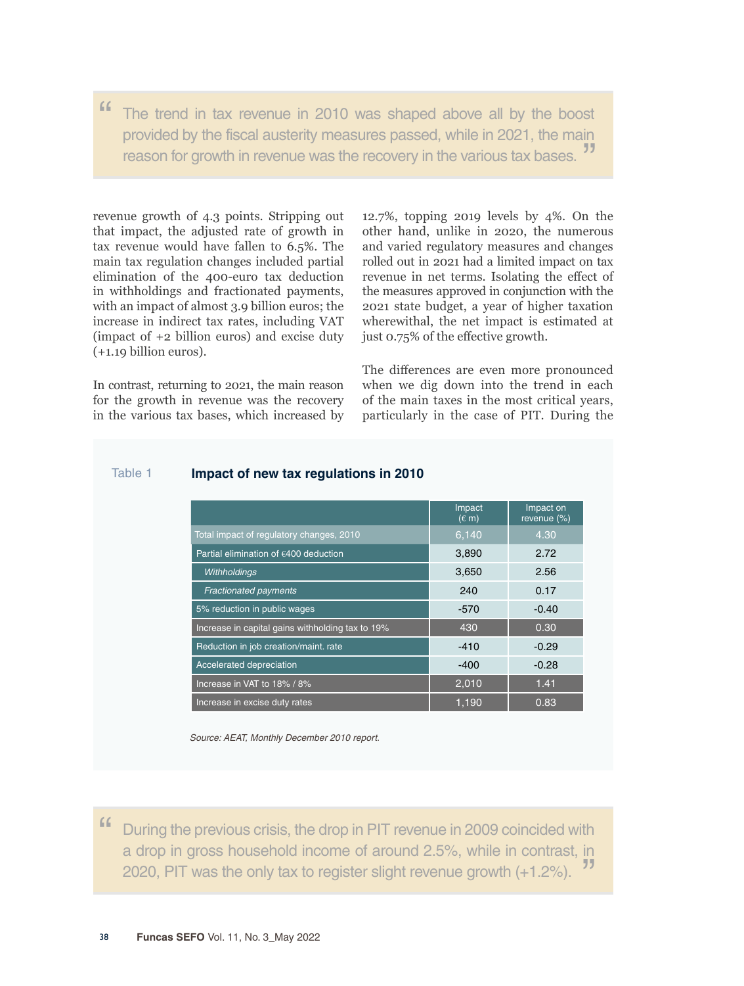" The trend in tax revenue in 2010 was shaped above all by the boost provided by the fiscal austerity measures passed, while in 2021, the main reason for growth in revenue was the recovery in the various tax bases.

revenue growth of 4.3 points. Stripping out that impact, the adjusted rate of growth in tax revenue would have fallen to 6.5%. The main tax regulation changes included partial elimination of the 400-euro tax deduction in withholdings and fractionated payments, with an impact of almost 3.9 billion euros; the increase in indirect tax rates, including VAT (impact of +2 billion euros) and excise duty (+1.19 billion euros).

In contrast, returning to 2021, the main reason for the growth in revenue was the recovery in the various tax bases, which increased by 12.7%, topping 2019 levels by 4%. On the other hand, unlike in 2020, the numerous and varied regulatory measures and changes rolled out in 2021 had a limited impact on tax revenue in net terms. Isolating the effect of the measures approved in conjunction with the 2021 state budget, a year of higher taxation wherewithal, the net impact is estimated at just 0.75% of the effective growth.

The differences are even more pronounced when we dig down into the trend in each of the main taxes in the most critical years, particularly in the case of PIT. During the

|                                                  | Impact<br>$(\epsilon$ m) | Impact on<br>revenue (%) |
|--------------------------------------------------|--------------------------|--------------------------|
| Total impact of regulatory changes, 2010         | 6,140                    | 4.30                     |
| Partial elimination of €400 deduction            | 3.890                    | 2.72                     |
| Withholdings                                     | 3,650                    | 2.56                     |
| <b>Fractionated payments</b>                     | 240                      | 0.17                     |
| 5% reduction in public wages                     | $-570$                   | $-0.40$                  |
| Increase in capital gains withholding tax to 19% | 430                      | 0.30                     |
| Reduction in job creation/maint. rate            | $-410$                   | $-0.29$                  |
| Accelerated depreciation                         | $-400$                   | $-0.28$                  |
| Increase in VAT to 18% / 8%                      | 2,010                    | 1.41                     |
| Increase in excise duty rates                    | 1.190                    | 0.83                     |

## Table 1 **Impact of new tax regulations in 2010**

*Source: AEAT, Monthly December 2010 report.*

" During the previous crisis, the drop in PIT revenue in 2009 coincided with a drop in gross household income of around 2.5%, while in contrast, in 2020, PIT was the only tax to register slight revenue growth (+1.2%). "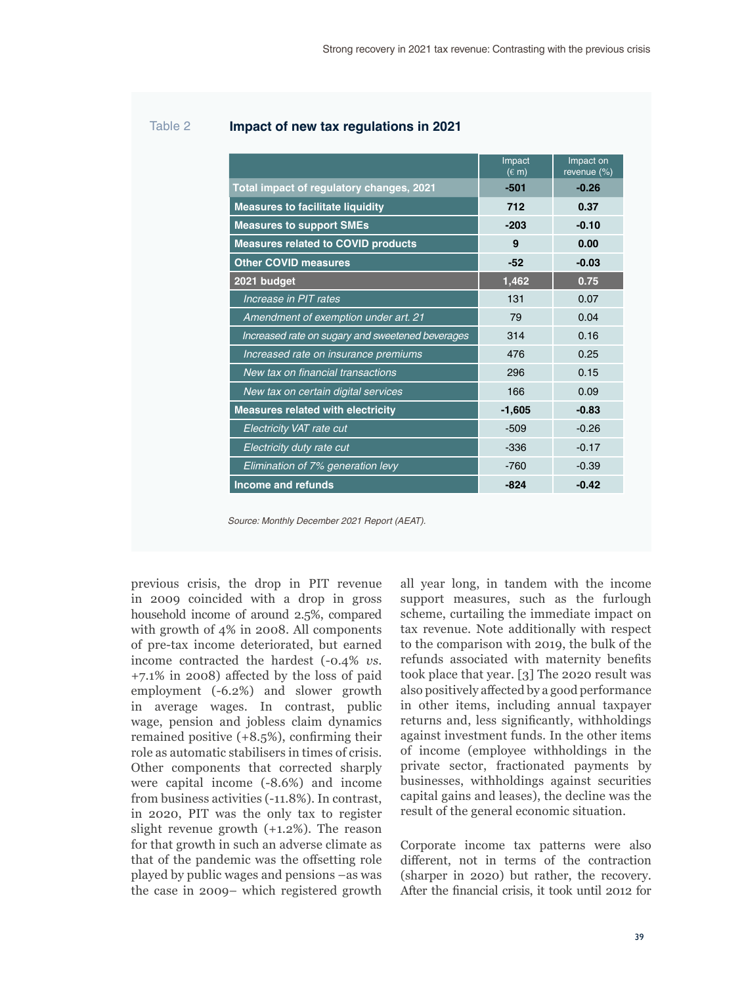## Table 2 **Impact of new tax regulations in 2021**

|                                                  | Impact<br>$(E \, m)$ | Impact on<br>revenue (%) |  |  |
|--------------------------------------------------|----------------------|--------------------------|--|--|
| Total impact of regulatory changes, 2021         | -501                 | $-0.26$                  |  |  |
| <b>Measures to facilitate liquidity</b>          | 712                  | 0.37                     |  |  |
| <b>Measures to support SMEs</b>                  | $-203$               | $-0.10$                  |  |  |
| <b>Measures related to COVID products</b>        | 9                    | 0.00                     |  |  |
| <b>Other COVID measures</b>                      | $-52$                | $-0.03$                  |  |  |
| 2021 budget                                      | 1,462                | 0.75                     |  |  |
| Increase in PIT rates                            | 131                  | 0.07                     |  |  |
| Amendment of exemption under art. 21             | 79                   | 0.04                     |  |  |
| Increased rate on sugary and sweetened beverages | 314                  | 0.16                     |  |  |
| Increased rate on insurance premiums             | 476                  | 0.25                     |  |  |
| New tax on financial transactions                | 296                  | 0.15                     |  |  |
| New tax on certain digital services              | 166                  | 0.09                     |  |  |
| <b>Measures related with electricity</b>         | $-1,605$             | $-0.83$                  |  |  |
| Electricity VAT rate cut                         | $-509$               | $-0.26$                  |  |  |
| Electricity duty rate cut                        | $-336$               | $-0.17$                  |  |  |
| Elimination of 7% generation levy                | $-760$               | $-0.39$                  |  |  |
| Income and refunds                               | $-824$               | $-0.42$                  |  |  |

*Source: Monthly December 2021 Report (AEAT).*

previous crisis, the drop in PIT revenue in 2009 coincided with a drop in gross household income of around 2.5%, compared with growth of 4% in 2008. All components of pre-tax income deteriorated, but earned income contracted the hardest (-0.4% *vs*. +7.1% in 2008) affected by the loss of paid employment (-6.2%) and slower growth in average wages. In contrast, public wage, pension and jobless claim dynamics remained positive (+8.5%), confirming their role as automatic stabilisers in times of crisis. Other components that corrected sharply were capital income (-8.6%) and income from business activities (-11.8%). In contrast, in 2020, PIT was the only tax to register slight revenue growth (+1.2%). The reason for that growth in such an adverse climate as that of the pandemic was the offsetting role played by public wages and pensions –as was the case in 2009– which registered growth

all year long, in tandem with the income support measures, such as the furlough scheme, curtailing the immediate impact on tax revenue. Note additionally with respect to the comparison with 2019, the bulk of the refunds associated with maternity benefits took place that year. [3] The 2020 result was also positively affected by a good performance in other items, including annual taxpayer returns and, less significantly, withholdings against investment funds. In the other items of income (employee withholdings in the private sector, fractionated payments by businesses, withholdings against securities capital gains and leases), the decline was the result of the general economic situation.

Corporate income tax patterns were also different, not in terms of the contraction (sharper in 2020) but rather, the recovery. After the financial crisis, it took until 2012 for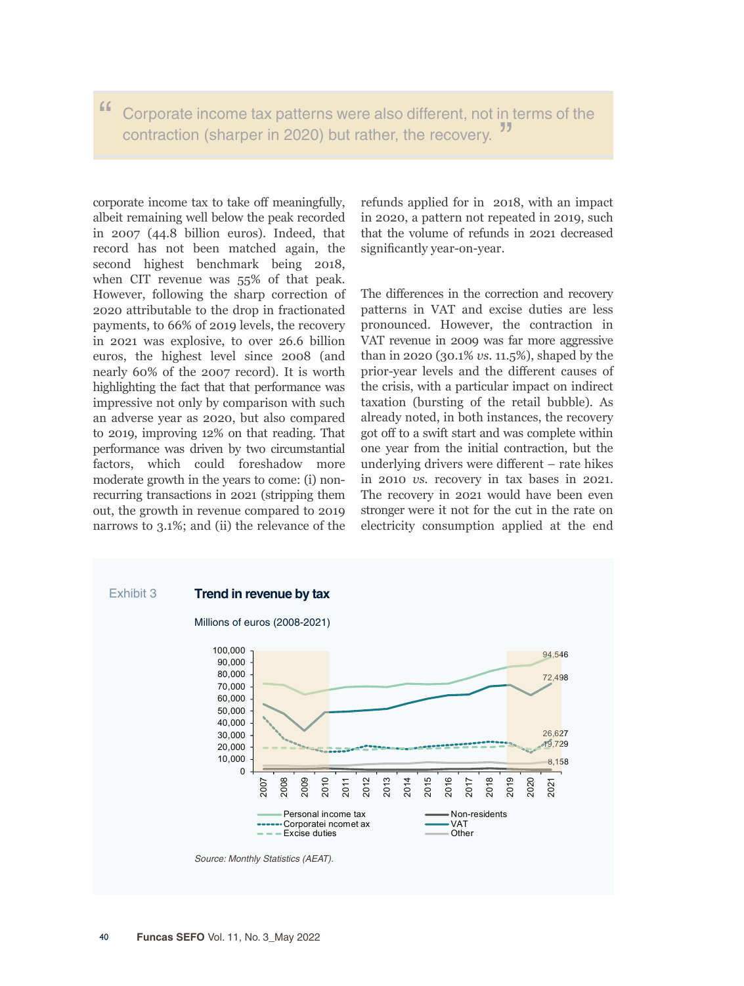## " Corporate income tax patterns were also different, not in terms of the contraction (sharper in 2020) but rather, the recovery. "

corporate income tax to take off meaningfully, albeit remaining well below the peak recorded in 2007 (44.8 billion euros). Indeed, that record has not been matched again, the second highest benchmark being 2018, when CIT revenue was 55% of that peak. However, following the sharp correction of 2020 attributable to the drop in fractionated payments, to 66% of 2019 levels, the recovery in 2021 was explosive, to over 26.6 billion euros, the highest level since 2008 (and nearly 60% of the 2007 record). It is worth highlighting the fact that that performance was impressive not only by comparison with such an adverse year as 2020, but also compared to 2019, improving 12% on that reading. That performance was driven by two circumstantial factors, which could foreshadow more moderate growth in the years to come: (i) nonrecurring transactions in 2021 (stripping them out, the growth in revenue compared to 2019 narrows to 3.1%; and (ii) the relevance of the

refunds applied for in 2018, with an impact in 2020, a pattern not repeated in 2019, such that the volume of refunds in 2021 decreased significantly year-on-year.

The differences in the correction and recovery patterns in VAT and excise duties are less pronounced. However, the contraction in VAT revenue in 2009 was far more aggressive than in 2020 (30.1% *vs*. 11.5%), shaped by the prior-year levels and the different causes of the crisis, with a particular impact on indirect taxation (bursting of the retail bubble). As already noted, in both instances, the recovery got off to a swift start and was complete within one year from the initial contraction, but the underlying drivers were different – rate hikes in 2010 *vs.* recovery in tax bases in 2021. The recovery in 2021 would have been even stronger were it not for the cut in the rate on electricity consumption applied at the end

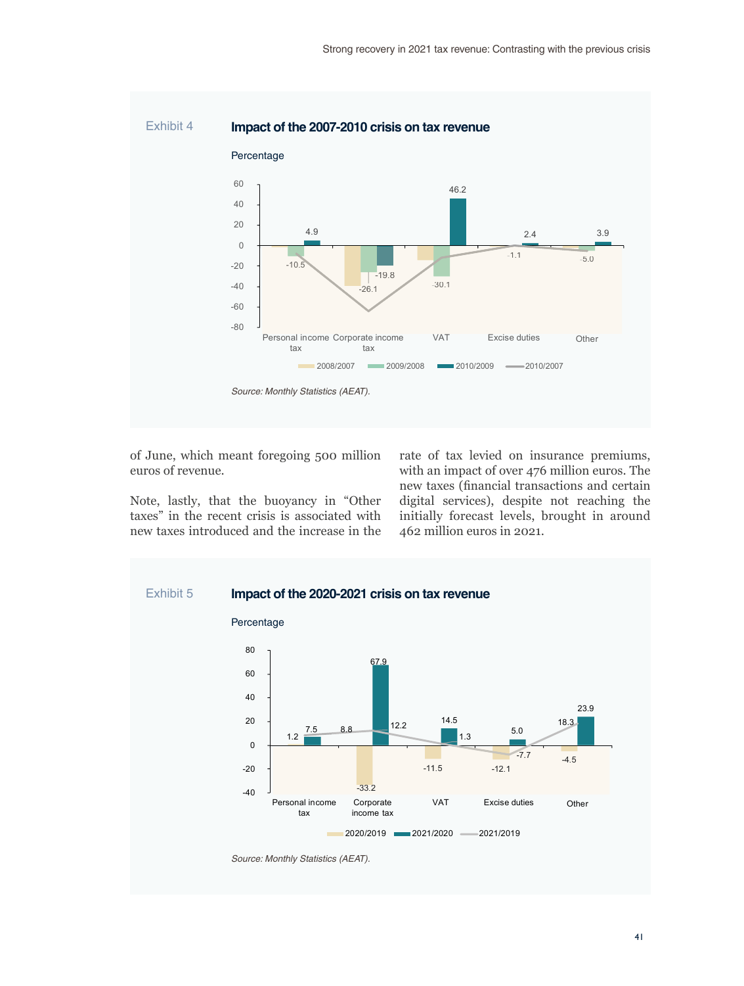

of June, which meant foregoing 500 million euros of revenue.

Note, lastly, that the buoyancy in "Other taxes" in the recent crisis is associated with new taxes introduced and the increase in the rate of tax levied on insurance premiums, with an impact of over 476 million euros. The new taxes (financial transactions and certain digital services), despite not reaching the initially forecast levels, brought in around 462 million euros in 2021.



41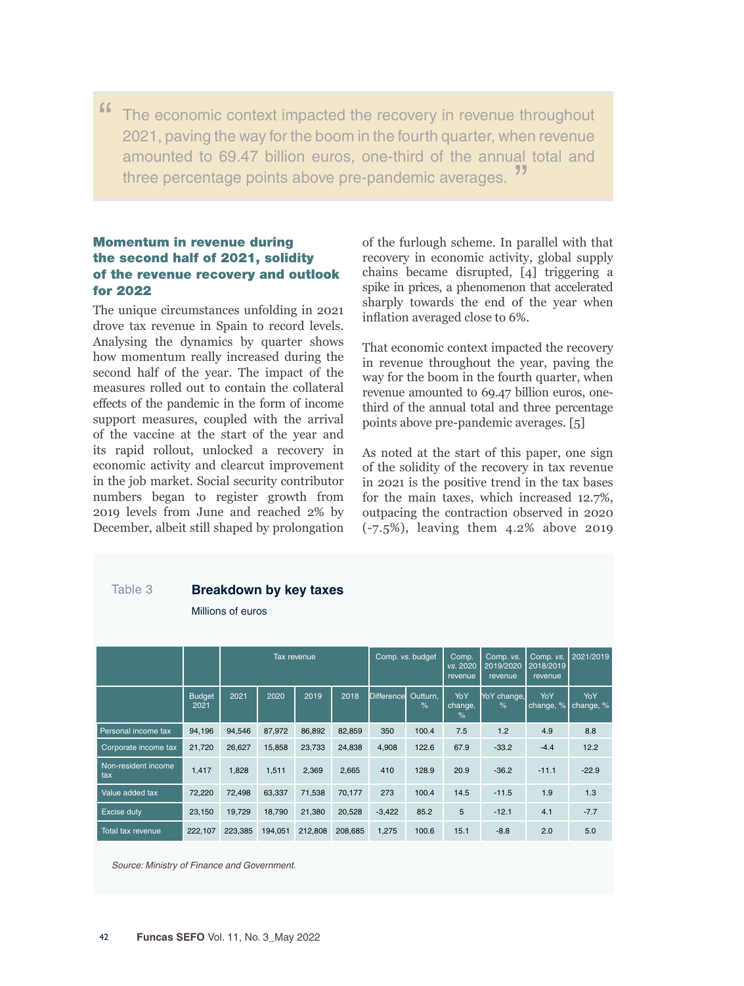" The economic context impacted the recovery in revenue throughout 2021, paving the way for the boom in the fourth quarter, when revenue amounted to 69.47 billion euros, one-third of the annual total and three percentage points above pre-pandemic averages.

## Momentum in revenue during the second half of 2021, solidity of the revenue recovery and outlook for 2022

The unique circumstances unfolding in 2021 drove tax revenue in Spain to record levels. Analysing the dynamics by quarter shows how momentum really increased during the second half of the year. The impact of the measures rolled out to contain the collateral effects of the pandemic in the form of income support measures, coupled with the arrival of the vaccine at the start of the year and its rapid rollout, unlocked a recovery in economic activity and clearcut improvement in the job market. Social security contributor numbers began to register growth from 2019 levels from June and reached 2% by December, albeit still shaped by prolongation of the furlough scheme. In parallel with that recovery in economic activity, global supply chains became disrupted, [4] triggering a spike in prices, a phenomenon that accelerated sharply towards the end of the year when inflation averaged close to 6%.

That economic context impacted the recovery in revenue throughout the year, paving the way for the boom in the fourth quarter, when revenue amounted to 69.47 billion euros, onethird of the annual total and three percentage points above pre-pandemic averages. [5]

As noted at the start of this paper, one sign of the solidity of the recovery in tax revenue in 2021 is the positive trend in the tax bases for the main taxes, which increased 12.7%, outpacing the contraction observed in 2020 (-7.5%), leaving them 4.2% above 2019

| Table 3                    | <b>Breakdown by key taxes</b><br>Millions of euros |             |         |         |         |                  |                  |                              |                                   |                                   |                  |
|----------------------------|----------------------------------------------------|-------------|---------|---------|---------|------------------|------------------|------------------------------|-----------------------------------|-----------------------------------|------------------|
|                            |                                                    | Tax revenue |         |         |         | Comp. vs. budget |                  | Comp.<br>vs. 2020<br>revenue | Comp. vs.<br>2019/2020<br>revenue | Comp. vs.<br>2018/2019<br>revenue | 2021/2019        |
|                            | <b>Budget</b><br>2021                              | 2021        | 2020    | 2019    | 2018    | Difference       | Outturn,<br>$\%$ | YoY<br>change,<br>$\%$       | YoY change,<br>%                  | YoY<br>change, %                  | YoY<br>change, % |
| Personal income tax        | 94,196                                             | 94,546      | 87,972  | 86,892  | 82,859  | 350              | 100.4            | 7.5                          | 1.2                               | 4.9                               | 8.8              |
| Corporate income tax       | 21,720                                             | 26,627      | 15,858  | 23,733  | 24,838  | 4,908            | 122.6            | 67.9                         | $-33.2$                           | $-4.4$                            | 12.2             |
| Non-resident income<br>tax | 1,417                                              | 1,828       | 1,511   | 2,369   | 2,665   | 410              | 128.9            | 20.9                         | $-36.2$                           | $-11.1$                           | $-22.9$          |
| Value added tax            | 72,220                                             | 72,498      | 63,337  | 71,538  | 70,177  | 273              | 100.4            | 14.5                         | $-11.5$                           | 1.9                               | 1.3              |
| Excise duty                | 23,150                                             | 19,729      | 18,790  | 21,380  | 20,528  | $-3,422$         | 85.2             | 5                            | $-12.1$                           | 4.1                               | $-7.7$           |
| Total tax revenue          | 222,107                                            | 223,385     | 194,051 | 212,808 | 208,685 | 1,275            | 100.6            | 15.1                         | $-8.8$                            | 2.0                               | 5.0              |

*Source: Ministry of Finance and Government.*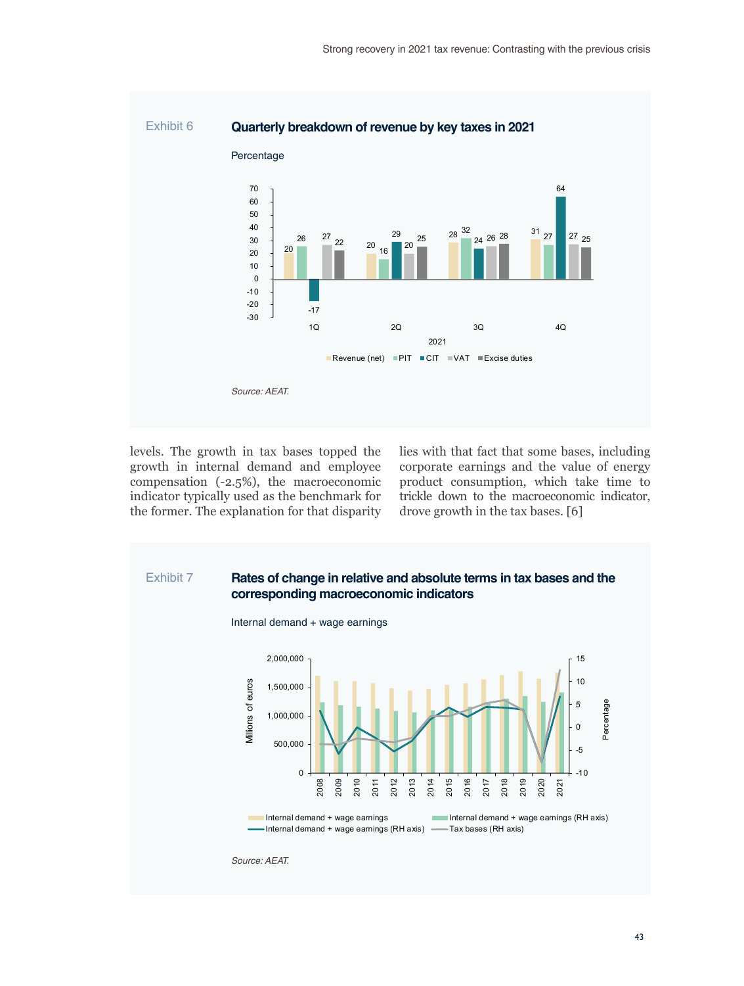

levels. The growth in tax bases topped the growth in internal demand and employee compensation (-2.5%), the macroeconomic indicator typically used as the benchmark for the former. The explanation for that disparity lies with that fact that some bases, including corporate earnings and the value of energy product consumption, which take time to trickle down to the macroeconomic indicator, drove growth in the tax bases. [6]

## Exhibit 7 **Rates of change in relative and absolute terms in tax bases and the corresponding macroeconomic indicators**





*Source: AEAT.*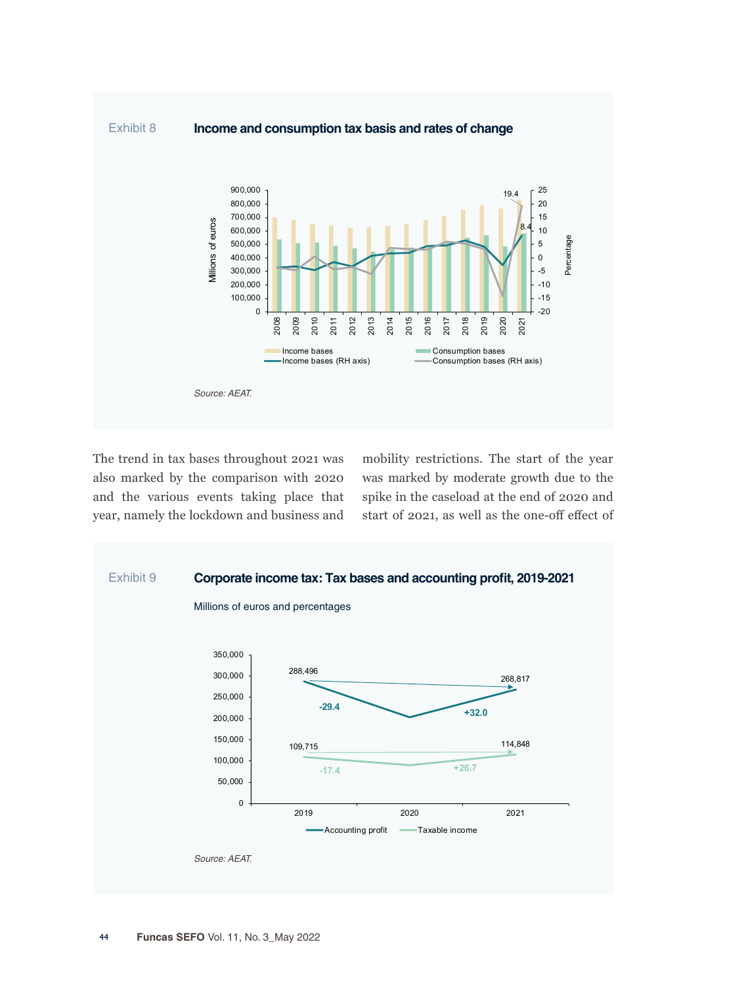

The trend in tax bases throughout 2021 was also marked by the comparison with 2020 and the various events taking place that year, namely the lockdown and business and

mobility restrictions. The start of the year was marked by moderate growth due to the spike in the caseload at the end of 2020 and start of 2021, as well as the one-off effect of

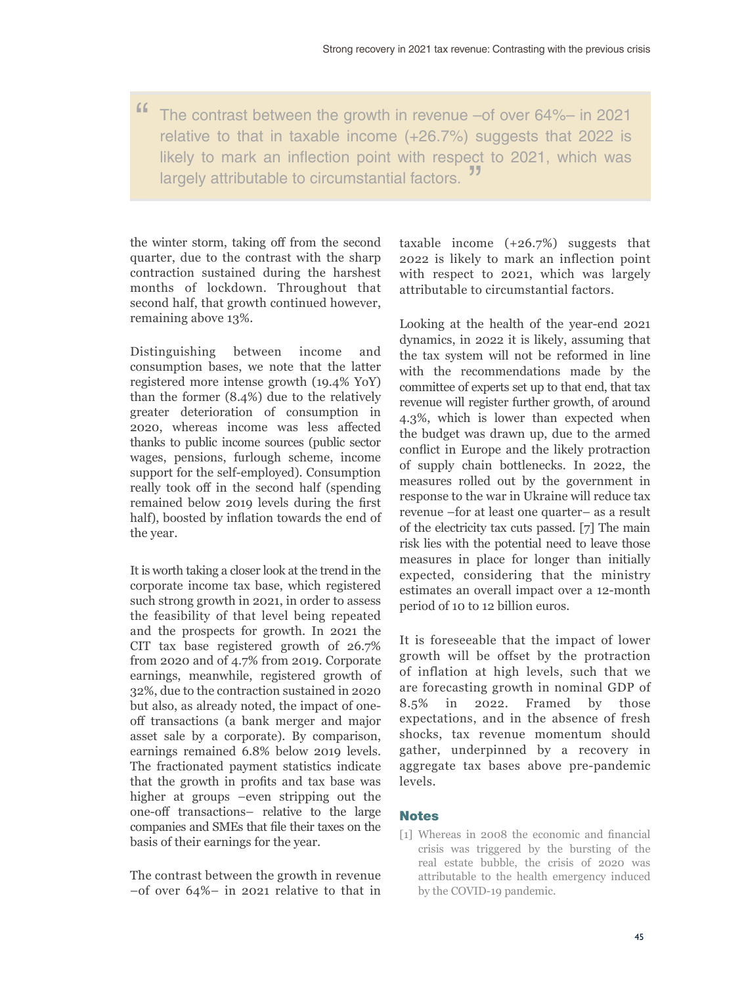" The contrast between the growth in revenue –of over 64%– in 2021 relative to that in taxable income (+26.7%) suggests that 2022 is likely to mark an inflection point with respect to 2021, which was largely attributable to circumstantial factors.

the winter storm, taking off from the second quarter, due to the contrast with the sharp contraction sustained during the harshest months of lockdown. Throughout that second half, that growth continued however, remaining above 13%.

Distinguishing between income and consumption bases, we note that the latter registered more intense growth (19.4% YoY) than the former (8.4%) due to the relatively greater deterioration of consumption in 2020, whereas income was less affected thanks to public income sources (public sector wages, pensions, furlough scheme, income support for the self-employed). Consumption really took off in the second half (spending remained below 2019 levels during the first half), boosted by inflation towards the end of the year.

It is worth taking a closer look at the trend in the corporate income tax base, which registered such strong growth in 2021, in order to assess the feasibility of that level being repeated and the prospects for growth. In 2021 the CIT tax base registered growth of 26.7% from 2020 and of 4.7% from 2019. Corporate earnings, meanwhile, registered growth of 32%, due to the contraction sustained in 2020 but also, as already noted, the impact of oneoff transactions (a bank merger and major asset sale by a corporate). By comparison, earnings remained 6.8% below 2019 levels. The fractionated payment statistics indicate that the growth in profits and tax base was higher at groups –even stripping out the one-off transactions– relative to the large companies and SMEs that file their taxes on the basis of their earnings for the year.

The contrast between the growth in revenue –of over 64%– in 2021 relative to that in taxable income (+26.7%) suggests that 2022 is likely to mark an inflection point with respect to 2021, which was largely attributable to circumstantial factors.

Looking at the health of the year-end 2021 dynamics, in 2022 it is likely, assuming that the tax system will not be reformed in line with the recommendations made by the committee of experts set up to that end, that tax revenue will register further growth, of around 4.3%, which is lower than expected when the budget was drawn up, due to the armed conflict in Europe and the likely protraction of supply chain bottlenecks. In 2022, the measures rolled out by the government in response to the war in Ukraine will reduce tax revenue –for at least one quarter– as a result of the electricity tax cuts passed. [7] The main risk lies with the potential need to leave those measures in place for longer than initially expected, considering that the ministry estimates an overall impact over a 12-month period of 10 to 12 billion euros.

It is foreseeable that the impact of lower growth will be offset by the protraction of inflation at high levels, such that we are forecasting growth in nominal GDP of 8.5% in 2022. Framed by those expectations, and in the absence of fresh shocks, tax revenue momentum should gather, underpinned by a recovery in aggregate tax bases above pre-pandemic levels.

### **Notes**

[1] Whereas in 2008 the economic and financial crisis was triggered by the bursting of the real estate bubble, the crisis of 2020 was attributable to the health emergency induced by the COVID-19 pandemic.